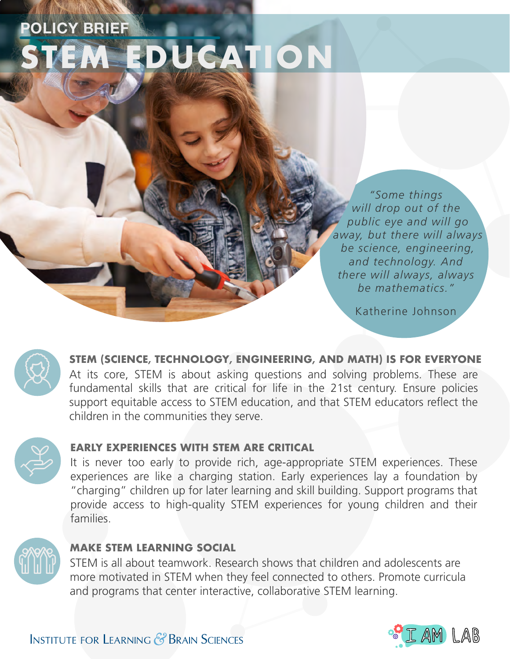# **POLICY BRIEF SEDUCATION**

*"Some things will drop out of the public eye and will go away, but there will always be science, engineering, and technology. And there will always, always be mathematics."*

Katherine Johnson



At its core, STEM is about asking questions and solving problems. These are fundamental skills that are critical for life in the 21st century. Ensure policies support equitable access to STEM education, and that STEM educators refect the children in the communities they serve. **STEM (SCIENCE, TECHNOLOGY, ENGINEERING, AND MATH) IS FOR EVERYONE** 



### **EARLY EXPERIENCES WITH STEM ARE CRITICAL**

It is never too early to provide rich, age-appropriate STEM experiences. These experiences are like a charging station. Early experiences lay a foundation by "charging" children up for later learning and skill building. Support programs that provide access to high-quality STEM experiences for young children and their families.



### **MAKE STEM LEARNING SOCIAL**

STEM is all about teamwork. Research shows that children and adolescents are more motivated in STEM when they feel connected to others. Promote curricula and programs that center interactive, collaborative STEM learning.